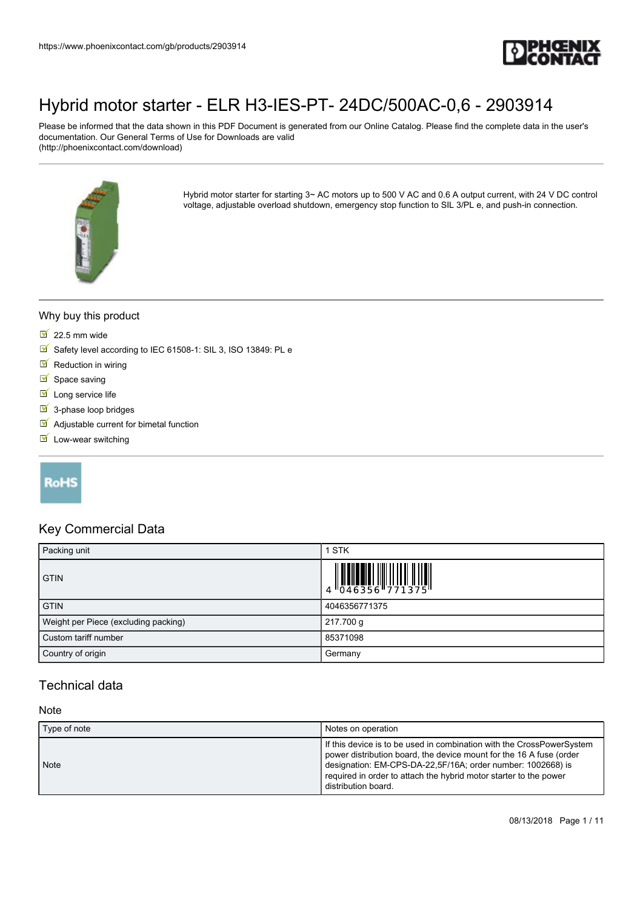

Please be informed that the data shown in this PDF Document is generated from our Online Catalog. Please find the complete data in the user's documentation. Our General Terms of Use for Downloads are valid (http://phoenixcontact.com/download)



Hybrid motor starter for starting 3~ AC motors up to 500 V AC and 0.6 A output current, with 24 V DC control voltage, adjustable overload shutdown, emergency stop function to SIL 3/PL e, and push-in connection.

#### Why buy this product

- $22.5$  mm wide
- Safety level according to IEC 61508-1: SIL 3, ISO 13849: PL e
- $\blacksquare$  Reduction in wiring
- $\blacksquare$  Space saving
- $\blacksquare$  Long service life
- $\overline{\mathbf{9}}$  3-phase loop bridges
- $\blacksquare$  Adjustable current for bimetal function
- $\blacksquare$  Low-wear switching

## **RoHS**

#### Key Commercial Data

| Packing unit                         | STK                                                                       |
|--------------------------------------|---------------------------------------------------------------------------|
| <b>GTIN</b>                          | $\begin{array}{c} 1 & 0 & 0 & 0 \\ 0 & 0 & 4 & 6 & 3 & 5 & 6 \end{array}$ |
| <b>GTIN</b>                          | 4046356771375                                                             |
| Weight per Piece (excluding packing) | 217.700 g                                                                 |
| Custom tariff number                 | 85371098                                                                  |
| Country of origin                    | Germany                                                                   |

#### Technical data

#### **Note**

| Type of note | Notes on operation                                                                                                                                                                                                                                                                                      |
|--------------|---------------------------------------------------------------------------------------------------------------------------------------------------------------------------------------------------------------------------------------------------------------------------------------------------------|
| Note         | If this device is to be used in combination with the CrossPowerSystem<br>power distribution board, the device mount for the 16 A fuse (order<br>designation: EM-CPS-DA-22,5F/16A; order number: 1002668) is<br>required in order to attach the hybrid motor starter to the power<br>distribution board. |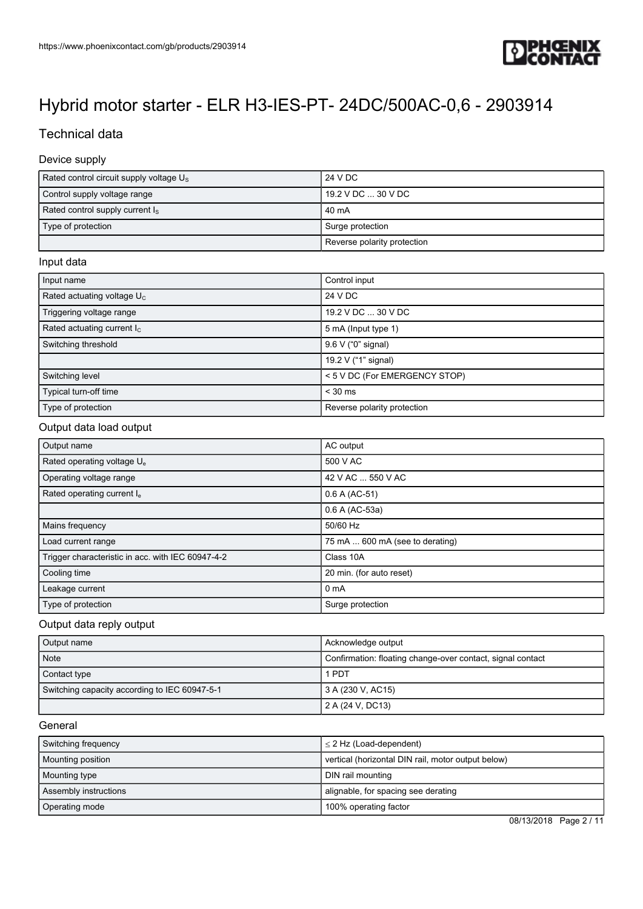

## Technical data

#### Device supply

| Rated control circuit supply voltage $U_s$ | 24 V DC                     |
|--------------------------------------------|-----------------------------|
| Control supply voltage range               | 19.2 V DC  30 V DC          |
| Rated control supply current $I_s$         | 40 mA                       |
| Type of protection                         | Surge protection            |
|                                            | Reverse polarity protection |

#### Input data

| Input name                    | Control input                 |
|-------------------------------|-------------------------------|
| Rated actuating voltage $U_c$ | 24 V DC                       |
| Triggering voltage range      | 19.2 V DC  30 V DC            |
| Rated actuating current $I_c$ | 5 mA (Input type 1)           |
| Switching threshold           | 9.6 V ("0" signal)            |
|                               | 19.2 V ("1" signal)           |
| Switching level               | < 5 V DC (For EMERGENCY STOP) |
| Typical turn-off time         | $< 30$ ms                     |
| Type of protection            | Reverse polarity protection   |

#### Output data load output

| Output name                                       | AC output                       |
|---------------------------------------------------|---------------------------------|
| Rated operating voltage U <sub>e</sub>            | 500 V AC                        |
| Operating voltage range                           | 42 V AC  550 V AC               |
| Rated operating current I.                        | $0.6 A (AC-51)$                 |
|                                                   | 0.6 A (AC-53a)                  |
| Mains frequency                                   | 50/60 Hz                        |
| Load current range                                | 75 mA  600 mA (see to derating) |
| Trigger characteristic in acc. with IEC 60947-4-2 | Class 10A                       |
| Cooling time                                      | 20 min. (for auto reset)        |
| Leakage current                                   | 0 <sub>m</sub> A                |
| Type of protection                                | Surge protection                |

#### Output data reply output

| Output name                                   | Acknowledge output                                         |
|-----------------------------------------------|------------------------------------------------------------|
| Note                                          | Confirmation: floating change-over contact, signal contact |
| Contact type                                  | 1 PDT                                                      |
| Switching capacity according to IEC 60947-5-1 | 3 A (230 V, AC15)                                          |
|                                               | 2 A (24 V, DC13)                                           |

#### General

| Switching frequency      | $\leq$ 2 Hz (Load-dependent)                       |
|--------------------------|----------------------------------------------------|
| <b>Mounting position</b> | vertical (horizontal DIN rail, motor output below) |
| Mounting type            | DIN rail mounting                                  |
| Assembly instructions    | alignable, for spacing see derating                |
| Operating mode           | 100% operating factor                              |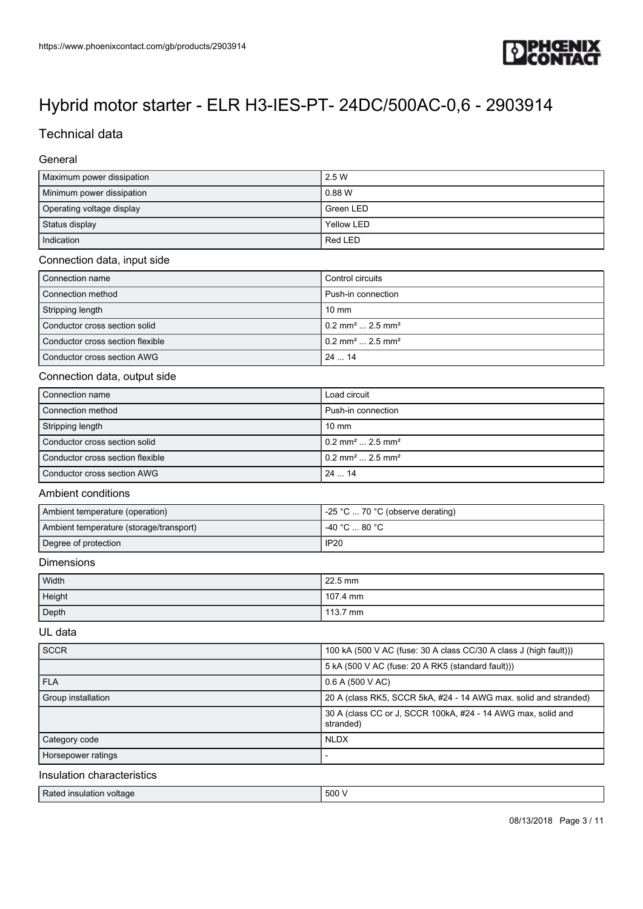

## Technical data

#### General

| Maximum power dissipation | 2.5 W      |
|---------------------------|------------|
| Minimum power dissipation | 0.88 W     |
| Operating voltage display | Green LED  |
| Status display            | Yellow LED |
| Indication                | Red LED    |

#### Connection data, input side

| Connection name                  | Control circuits                           |
|----------------------------------|--------------------------------------------|
| Connection method                | Push-in connection                         |
| Stripping length                 | $10 \text{ mm}$                            |
| Conductor cross section solid    | $10.2$ mm <sup>2</sup> 2.5 mm <sup>2</sup> |
| Conductor cross section flexible | $10.2$ mm <sup>2</sup> 2.5 mm <sup>2</sup> |
| Conductor cross section AWG      | 24 14                                      |

#### Connection data, output side

| Connection name                  | Load circuit                               |
|----------------------------------|--------------------------------------------|
| Connection method                | Push-in connection                         |
| Stripping length                 | $10 \text{ mm}$                            |
| Conductor cross section solid    | $10.2$ mm <sup>2</sup> 2.5 mm <sup>2</sup> |
| Conductor cross section flexible | $0.2$ mm <sup>2</sup> 2.5 mm <sup>2</sup>  |
| Conductor cross section AWG      | 2414                                       |

#### Ambient conditions

| Ambient temperature (operation)         | $\vert$ -25 °C  70 °C (observe derating)             |
|-----------------------------------------|------------------------------------------------------|
| Ambient temperature (storage/transport) | $-40\degree$ C $\ldots$ 80 $\degree$ C $\phantom{0}$ |
| Degree of protection                    | <b>IP20</b>                                          |

#### Dimensions

| Width  | 22.5 mm  |
|--------|----------|
| Height | 107.4 mm |
| Depth  | 113.7 mm |

#### UL data

| <b>SCCR</b>                | 100 kA (500 V AC (fuse: 30 A class CC/30 A class J (high fault)))         |
|----------------------------|---------------------------------------------------------------------------|
|                            | 5 kA (500 V AC (fuse: 20 A RK5 (standard fault)))                         |
| <b>FLA</b>                 | 0.6 A (500 V AC)                                                          |
| Group installation         | 20 A (class RK5, SCCR 5kA, #24 - 14 AWG max. solid and stranded)          |
|                            | 30 A (class CC or J, SCCR 100kA, #24 - 14 AWG max, solid and<br>stranded) |
| Category code              | <b>NLDX</b>                                                               |
| Horsepower ratings         |                                                                           |
| Insulation characteristics |                                                                           |

Article insulation voltage 500 V and the state of the state  $\sim$  500 V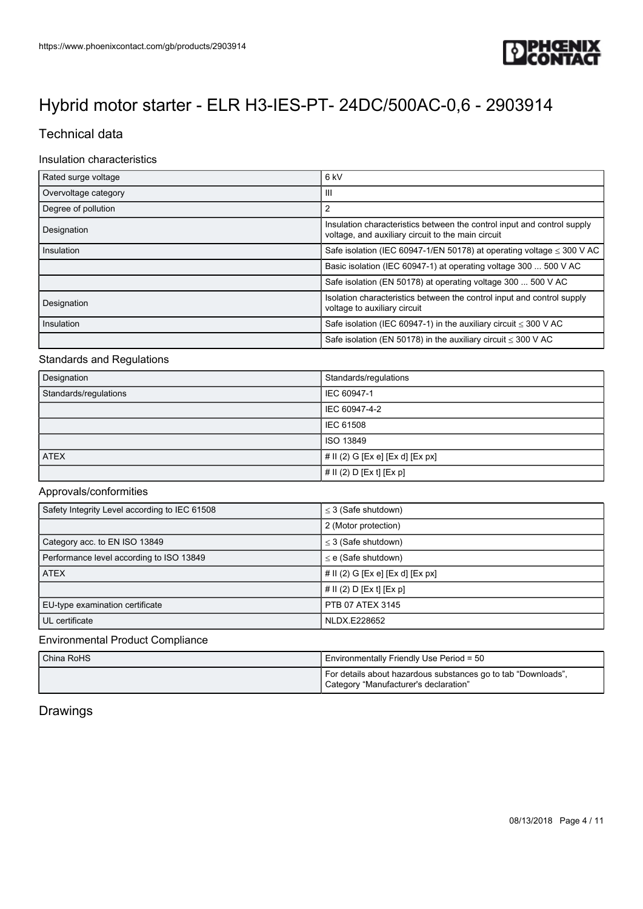

## Technical data

#### Insulation characteristics

| Rated surge voltage  | 6 kV                                                                                                                          |
|----------------------|-------------------------------------------------------------------------------------------------------------------------------|
| Overvoltage category | Ш                                                                                                                             |
| Degree of pollution  | 2                                                                                                                             |
| Designation          | Insulation characteristics between the control input and control supply<br>voltage, and auxiliary circuit to the main circuit |
| Insulation           | Safe isolation (IEC 60947-1/EN 50178) at operating voltage $\leq$ 300 V AC                                                    |
|                      | Basic isolation (IEC 60947-1) at operating voltage 300  500 V AC                                                              |
|                      | Safe isolation (EN 50178) at operating voltage 300  500 V AC                                                                  |
| Designation          | Isolation characteristics between the control input and control supply<br>voltage to auxiliary circuit                        |
| Insulation           | Safe isolation (IEC 60947-1) in the auxiliary circuit $\leq$ 300 V AC                                                         |
|                      | Safe isolation (EN 50178) in the auxiliary circuit $\leq$ 300 V AC                                                            |

#### Standards and Regulations

| Designation           | Standards/regulations            |
|-----------------------|----------------------------------|
| Standards/regulations | IEC 60947-1                      |
|                       | IEC 60947-4-2                    |
|                       | <b>IEC 61508</b>                 |
|                       | ISO 13849                        |
| <b>ATEX</b>           | # II (2) G [Ex e] [Ex d] [Ex px] |
|                       | # II (2) D [Ex t] [Ex p]         |

#### Approvals/conformities

| Safety Integrity Level according to IEC 61508 | $\leq$ 3 (Safe shutdown)            |
|-----------------------------------------------|-------------------------------------|
|                                               | 2 (Motor protection)                |
| Category acc. to EN ISO 13849                 | $\leq$ 3 (Safe shutdown)            |
| Performance level according to ISO 13849      | $\leq$ e (Safe shutdown)            |
| <b>ATEX</b>                                   | $\#$ II (2) G [Ex e] [Ex d] [Ex px] |
|                                               | # $\vert \vert$ (2) D [Ex t] [Ex p] |
| EU-type examination certificate               | PTB 07 ATEX 3145                    |
| UL certificate                                | NLDX.E228652                        |

#### Environmental Product Compliance

| China RoHS | Environmentally Friendly Use Period = 50                                                               |
|------------|--------------------------------------------------------------------------------------------------------|
|            | For details about hazardous substances go to tab "Downloads",<br>Category "Manufacturer's declaration" |

## Drawings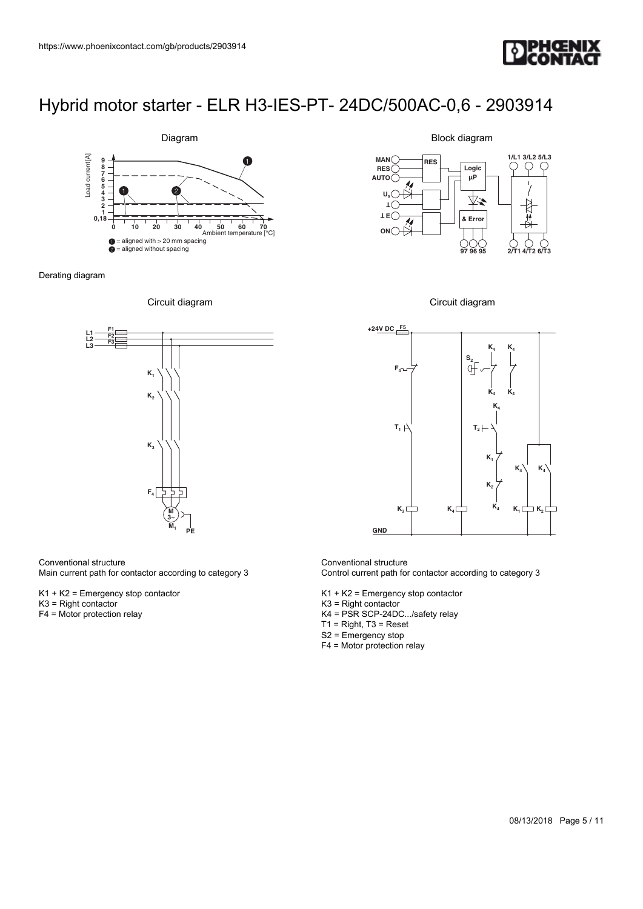



Derating diagram





#### Conventional structure

Main current path for contactor according to category 3

K1 + K2 = Emergency stop contactor

- K3 = Right contactor
- F4 = Motor protection relay

Block diagram







Conventional structure Control current path for contactor according to category 3

- K1 + K2 = Emergency stop contactor
- K3 = Right contactor
- K4 = PSR SCP-24DC.../safety relay
- T1 = Right, T3 = Reset
- S2 = Emergency stop
- F4 = Motor protection relay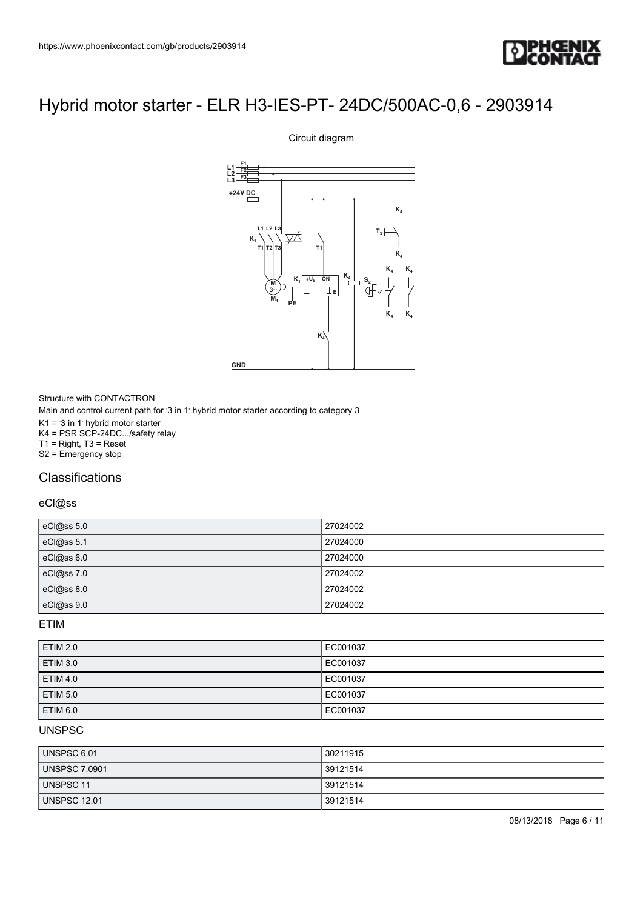

# **M 3**~  $+U_{\rm S}$ **E L1 L2 L3 +24V DC M K K4 K4 K4 K4 K4 T3 K4 K4 <sup>K</sup><sup>4</sup> <sup>S</sup><sup>2</sup> K PE L1 L2 F1 F2 F3 T1 T1 T2 L3 T3 GND**

Circuit diagram

Structure with CONTACTRON Main and control current path for '3 in 1' hybrid motor starter according to category 3  $K1 = 3$  in 1 hybrid motor starter K4 = PSR SCP-24DC.../safety relay T1 = Right, T3 = Reset S2 = Emergency stop

## **Classifications**

#### eCl@ss

| eCl@ss 5.0 | 27024002 |
|------------|----------|
| eCl@ss 5.1 | 27024000 |
| eCl@ss 6.0 | 27024000 |
| eCl@ss 7.0 | 27024002 |
| eCl@ss 8.0 | 27024002 |
| eCl@ss 9.0 | 27024002 |

ETIM

| <b>ETIM 2.0</b> | EC001037 |
|-----------------|----------|
| <b>ETIM 3.0</b> | EC001037 |
| <b>ETIM 4.0</b> | EC001037 |
| <b>ETIM 5.0</b> | EC001037 |
| ETIM 6.0        | EC001037 |

#### UNSPSC

| UNSPSC 6.01          | 30211915 |
|----------------------|----------|
| <b>UNSPSC 7.0901</b> | 39121514 |
| UNSPSC 11            | 39121514 |
| <b>UNSPSC 12.01</b>  | 39121514 |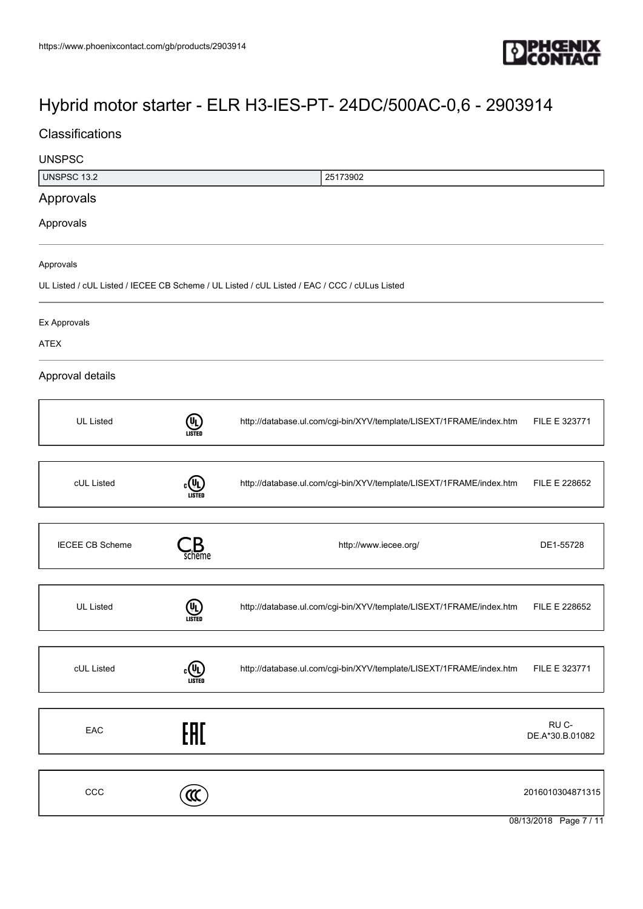

## **Classifications**

# 08/13/2018 Page 7 / 11 UNSPSC UNSPSC 13.2 25173902 Approvals Approvals Approvals UL Listed / cUL Listed / IECEE CB Scheme / UL Listed / cUL Listed / EAC / CCC / cULus Listed Ex Approvals ATEX Approval details UL Listed **(UL)** <http://database.ul.com/cgi-bin/XYV/template/LISEXT/1FRAME/index.htm> FILE E 323771 cUL Listed  $c$ <sup>U</sup>L) <http://database.ul.com/cgi-bin/XYV/template/LISEXT/1FRAME/index.htm> FILE E 228652 IECEE CB Scheme  $\qquad \qquad \bullet$  Scheme  $\qquad \qquad$  Scheme  $\qquad \qquad$  DE1-55728 UL Listed **(U<sub>L</sub>)**<br>usted <http://database.ul.com/cgi-bin/XYV/template/LISEXT/1FRAME/index.htm> FILE E 228652 cUL Listed  $\iota$ <sup>U</sup>L <http://database.ul.com/cgi-bin/XYV/template/LISEXT/1FRAME/index.htm> FILE E 323771 EAC<sub>e</sub> RU C-DE.A\*30.B.01082  $\text{CC}$  2016010304871315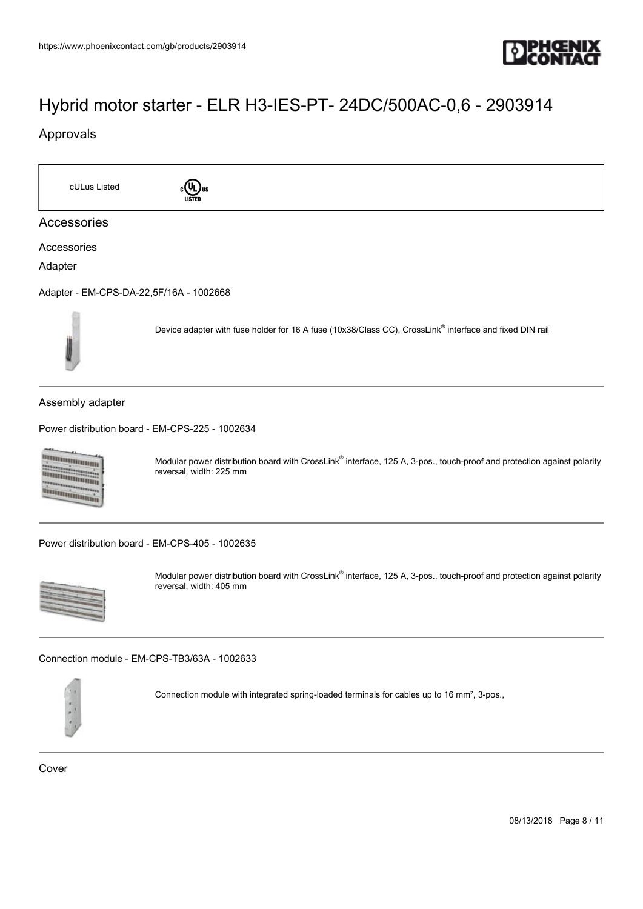

### Approvals

cULus Listed **c**<sup>(II</sup>) us Accessories Accessories Adapter [Adapter - EM-CPS-DA-22,5F/16A - 1002668](https://www.phoenixcontact.com/gb/products/1002668) Device adapter with fuse holder for 16 A fuse (10x38/Class CC), CrossLink® interface and fixed DIN rail Assembly adapter [Power distribution board - EM-CPS-225 - 1002634](https://www.phoenixcontact.com/gb/products/1002634) **Diamontana** Modular power distribution board with CrossLink® interface, 125 A, 3-pos., touch-proof and protection against polarity annammanna reversal, width: 225 mm **TARTAIN DANA** [Power distribution board - EM-CPS-405 - 1002635](https://www.phoenixcontact.com/gb/products/1002635) Modular power distribution board with CrossLink® interface, 125 A, 3-pos., touch-proof and protection against polarity reversal, width: 405 mm

[Connection module - EM-CPS-TB3/63A - 1002633](https://www.phoenixcontact.com/gb/products/1002633)



Connection module with integrated spring-loaded terminals for cables up to 16 mm², 3-pos.,

Cover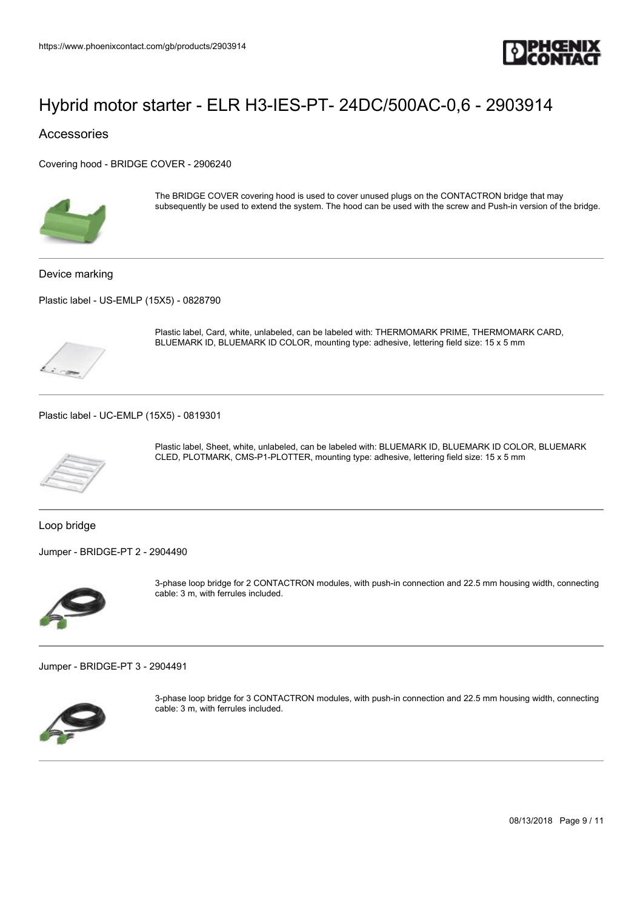

Accessories

[Covering hood - BRIDGE COVER - 2906240](https://www.phoenixcontact.com/gb/products/2906240)



The BRIDGE COVER covering hood is used to cover unused plugs on the CONTACTRON bridge that may subsequently be used to extend the system. The hood can be used with the screw and Push-in version of the bridge.

Device marking

[Plastic label - US-EMLP \(15X5\) - 0828790](https://www.phoenixcontact.com/gb/products/0828790)



Plastic label, Card, white, unlabeled, can be labeled with: THERMOMARK PRIME, THERMOMARK CARD, BLUEMARK ID, BLUEMARK ID COLOR, mounting type: adhesive, lettering field size: 15 x 5 mm

[Plastic label - UC-EMLP \(15X5\) - 0819301](https://www.phoenixcontact.com/gb/products/0819301)



Plastic label, Sheet, white, unlabeled, can be labeled with: BLUEMARK ID, BLUEMARK ID COLOR, BLUEMARK CLED, PLOTMARK, CMS-P1-PLOTTER, mounting type: adhesive, lettering field size: 15 x 5 mm

Loop bridge

[Jumper - BRIDGE-PT 2 - 2904490](https://www.phoenixcontact.com/gb/products/2904490)



3-phase loop bridge for 2 CONTACTRON modules, with push-in connection and 22.5 mm housing width, connecting cable: 3 m, with ferrules included.

[Jumper - BRIDGE-PT 3 - 2904491](https://www.phoenixcontact.com/gb/products/2904491)



3-phase loop bridge for 3 CONTACTRON modules, with push-in connection and 22.5 mm housing width, connecting cable: 3 m, with ferrules included.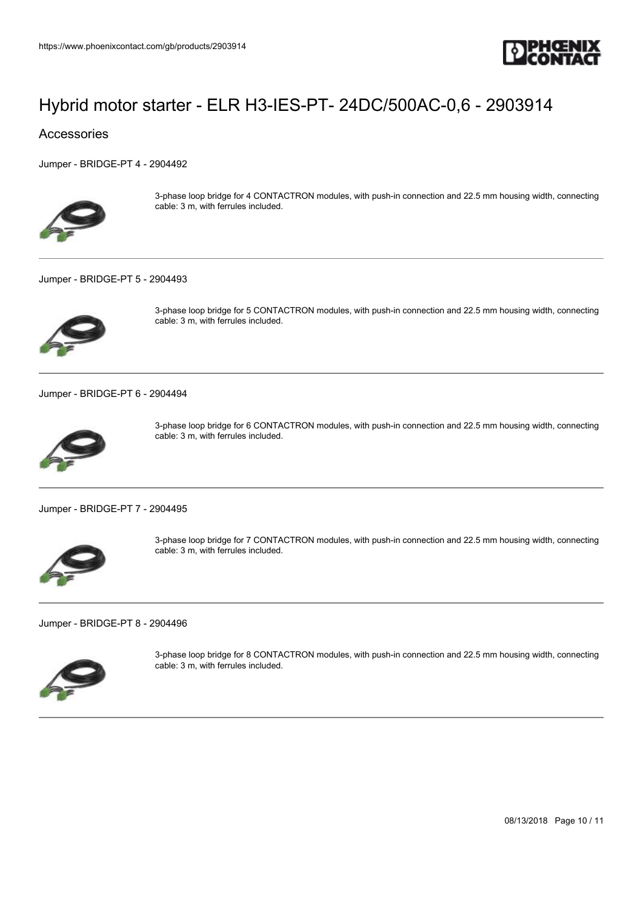

#### Accessories

[Jumper - BRIDGE-PT 4 - 2904492](https://www.phoenixcontact.com/gb/products/2904492)



3-phase loop bridge for 4 CONTACTRON modules, with push-in connection and 22.5 mm housing width, connecting cable: 3 m, with ferrules included.

#### [Jumper - BRIDGE-PT 5 - 2904493](https://www.phoenixcontact.com/gb/products/2904493)



3-phase loop bridge for 5 CONTACTRON modules, with push-in connection and 22.5 mm housing width, connecting cable: 3 m, with ferrules included.

[Jumper - BRIDGE-PT 6 - 2904494](https://www.phoenixcontact.com/gb/products/2904494)



3-phase loop bridge for 6 CONTACTRON modules, with push-in connection and 22.5 mm housing width, connecting cable: 3 m, with ferrules included.

[Jumper - BRIDGE-PT 7 - 2904495](https://www.phoenixcontact.com/gb/products/2904495)



3-phase loop bridge for 7 CONTACTRON modules, with push-in connection and 22.5 mm housing width, connecting cable: 3 m, with ferrules included.

[Jumper - BRIDGE-PT 8 - 2904496](https://www.phoenixcontact.com/gb/products/2904496)



3-phase loop bridge for 8 CONTACTRON modules, with push-in connection and 22.5 mm housing width, connecting cable: 3 m, with ferrules included.